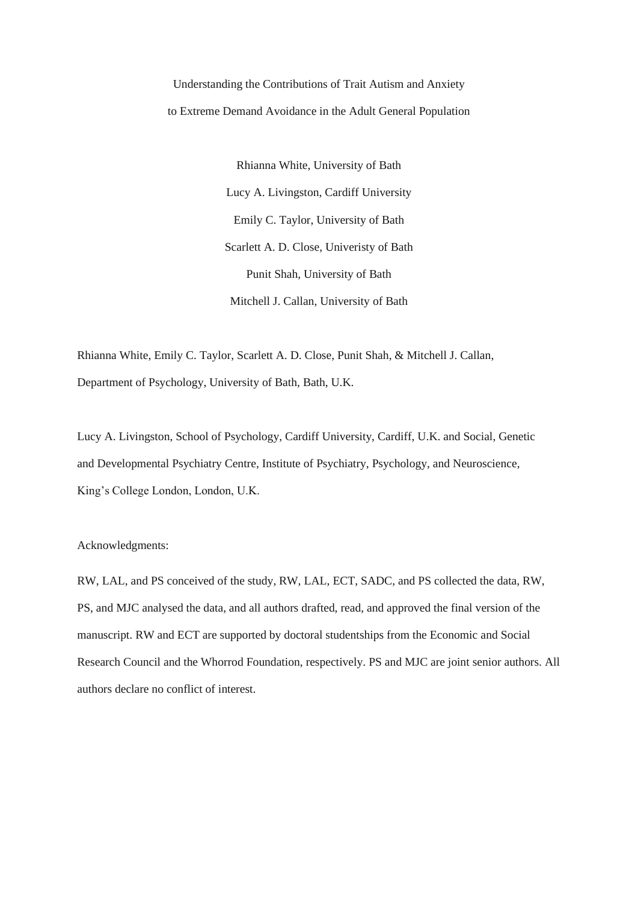Understanding the Contributions of Trait Autism and Anxiety to Extreme Demand Avoidance in the Adult General Population

> Rhianna White, University of Bath Lucy A. Livingston, Cardiff University Emily C. Taylor, University of Bath Scarlett A. D. Close, Univeristy of Bath Punit Shah, University of Bath Mitchell J. Callan, University of Bath

Rhianna White, Emily C. Taylor, Scarlett A. D. Close, Punit Shah, & Mitchell J. Callan, Department of Psychology, University of Bath, Bath, U.K.

Lucy A. Livingston, School of Psychology, Cardiff University, Cardiff, U.K. and Social, Genetic and Developmental Psychiatry Centre, Institute of Psychiatry, Psychology, and Neuroscience, King's College London, London, U.K.

Acknowledgments:

RW, LAL, and PS conceived of the study, RW, LAL, ECT, SADC, and PS collected the data, RW, PS, and MJC analysed the data, and all authors drafted, read, and approved the final version of the manuscript. RW and ECT are supported by doctoral studentships from the Economic and Social Research Council and the Whorrod Foundation, respectively. PS and MJC are joint senior authors. All authors declare no conflict of interest.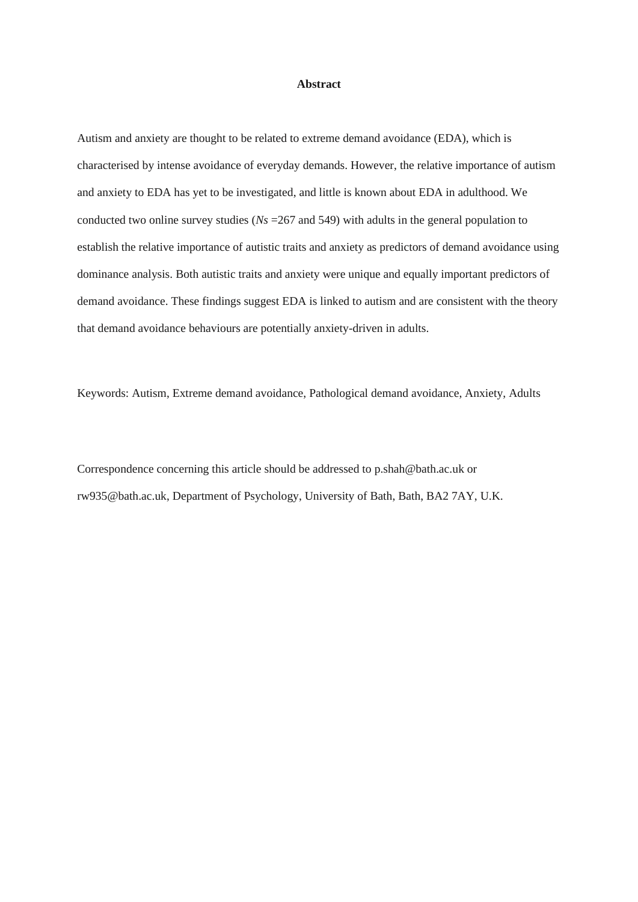#### **Abstract**

Autism and anxiety are thought to be related to extreme demand avoidance (EDA), which is characterised by intense avoidance of everyday demands. However, the relative importance of autism and anxiety to EDA has yet to be investigated, and little is known about EDA in adulthood. We conducted two online survey studies (*Ns* =267 and 549) with adults in the general population to establish the relative importance of autistic traits and anxiety as predictors of demand avoidance using dominance analysis. Both autistic traits and anxiety were unique and equally important predictors of demand avoidance. These findings suggest EDA is linked to autism and are consistent with the theory that demand avoidance behaviours are potentially anxiety-driven in adults.

Keywords: Autism, Extreme demand avoidance, Pathological demand avoidance, Anxiety, Adults

Correspondence concerning this article should be addressed to p.shah@bath.ac.uk or rw935@bath.ac.uk, Department of Psychology, University of Bath, Bath, BA2 7AY, U.K.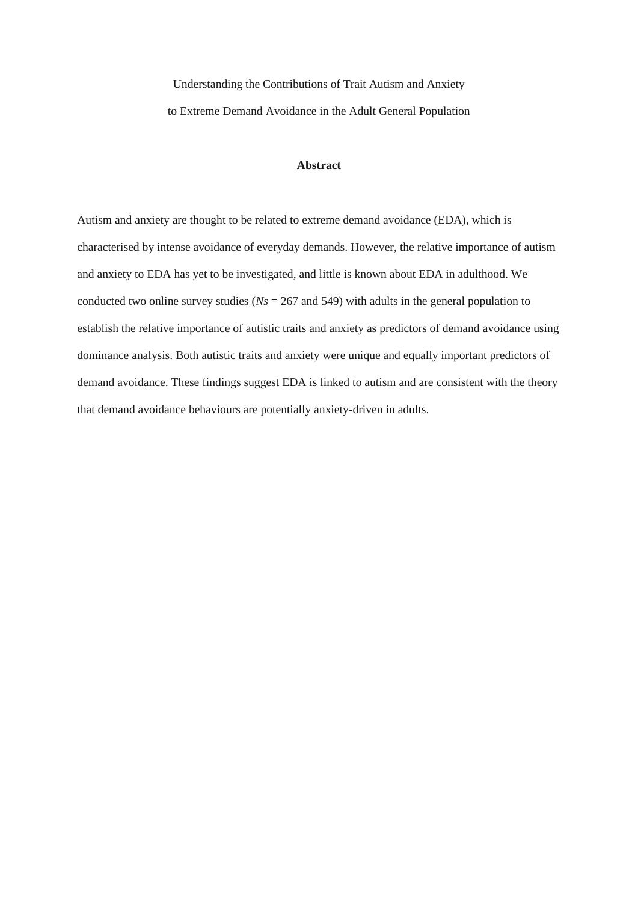Understanding the Contributions of Trait Autism and Anxiety to Extreme Demand Avoidance in the Adult General Population

#### **Abstract**

Autism and anxiety are thought to be related to extreme demand avoidance (EDA), which is characterised by intense avoidance of everyday demands. However, the relative importance of autism and anxiety to EDA has yet to be investigated, and little is known about EDA in adulthood. We conducted two online survey studies (*Ns* = 267 and 549) with adults in the general population to establish the relative importance of autistic traits and anxiety as predictors of demand avoidance using dominance analysis. Both autistic traits and anxiety were unique and equally important predictors of demand avoidance. These findings suggest EDA is linked to autism and are consistent with the theory that demand avoidance behaviours are potentially anxiety-driven in adults.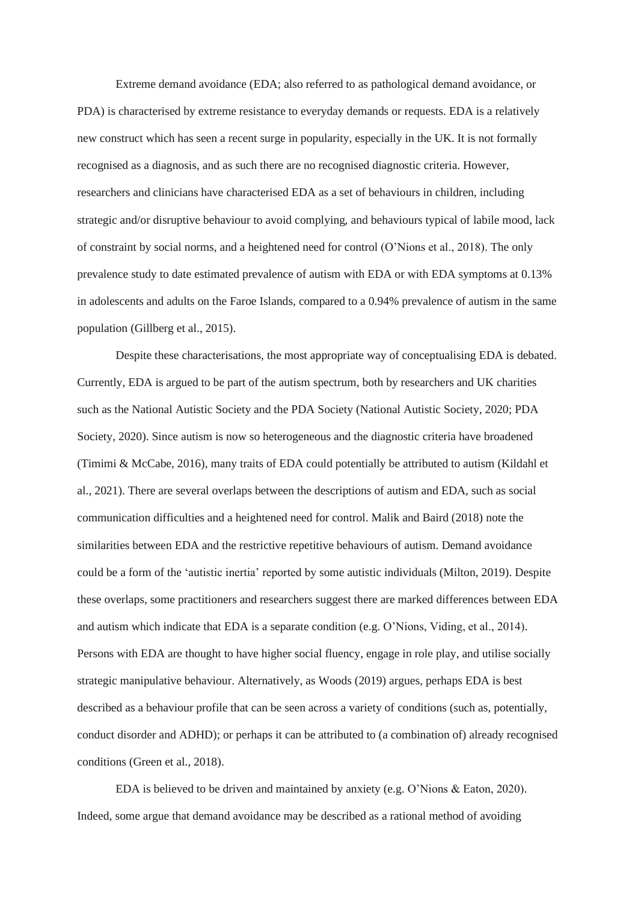Extreme demand avoidance (EDA; also referred to as pathological demand avoidance, or PDA) is characterised by extreme resistance to everyday demands or requests. EDA is a relatively new construct which has seen a recent surge in popularity, especially in the UK. It is not formally recognised as a diagnosis, and as such there are no recognised diagnostic criteria. However, researchers and clinicians have characterised EDA as a set of behaviours in children, including strategic and/or disruptive behaviour to avoid complying, and behaviours typical of labile mood, lack of constraint by social norms, and a heightened need for control (O'Nions et al., 2018). The only prevalence study to date estimated prevalence of autism with EDA or with EDA symptoms at 0.13% in adolescents and adults on the Faroe Islands, compared to a 0.94% prevalence of autism in the same population (Gillberg et al., 2015).

Despite these characterisations, the most appropriate way of conceptualising EDA is debated. Currently, EDA is argued to be part of the autism spectrum, both by researchers and UK charities such as the National Autistic Society and the PDA Society (National Autistic Society, 2020; PDA Society, 2020). Since autism is now so heterogeneous and the diagnostic criteria have broadened (Timimi & McCabe, 2016), many traits of EDA could potentially be attributed to autism (Kildahl et al., 2021). There are several overlaps between the descriptions of autism and EDA, such as social communication difficulties and a heightened need for control. Malik and Baird (2018) note the similarities between EDA and the restrictive repetitive behaviours of autism. Demand avoidance could be a form of the 'autistic inertia' reported by some autistic individuals (Milton, 2019). Despite these overlaps, some practitioners and researchers suggest there are marked differences between EDA and autism which indicate that EDA is a separate condition (e.g. O'Nions, Viding, et al., 2014). Persons with EDA are thought to have higher social fluency, engage in role play, and utilise socially strategic manipulative behaviour. Alternatively, as Woods (2019) argues, perhaps EDA is best described as a behaviour profile that can be seen across a variety of conditions (such as, potentially, conduct disorder and ADHD); or perhaps it can be attributed to (a combination of) already recognised conditions (Green et al., 2018).

EDA is believed to be driven and maintained by anxiety (e.g. O'Nions & Eaton, 2020). Indeed, some argue that demand avoidance may be described as a rational method of avoiding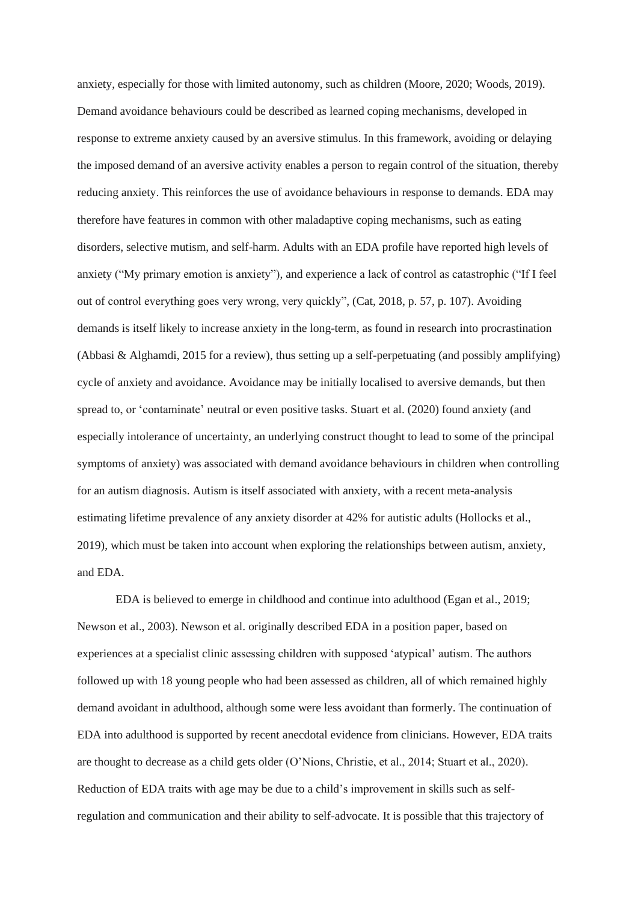anxiety, especially for those with limited autonomy, such as children (Moore, 2020; Woods, 2019). Demand avoidance behaviours could be described as learned coping mechanisms, developed in response to extreme anxiety caused by an aversive stimulus. In this framework, avoiding or delaying the imposed demand of an aversive activity enables a person to regain control of the situation, thereby reducing anxiety. This reinforces the use of avoidance behaviours in response to demands. EDA may therefore have features in common with other maladaptive coping mechanisms, such as eating disorders, selective mutism, and self-harm. Adults with an EDA profile have reported high levels of anxiety ("My primary emotion is anxiety"), and experience a lack of control as catastrophic ("If I feel out of control everything goes very wrong, very quickly", (Cat, 2018, p. 57, p. 107). Avoiding demands is itself likely to increase anxiety in the long-term, as found in research into procrastination (Abbasi & Alghamdi, 2015 for a review), thus setting up a self-perpetuating (and possibly amplifying) cycle of anxiety and avoidance. Avoidance may be initially localised to aversive demands, but then spread to, or 'contaminate' neutral or even positive tasks. Stuart et al. (2020) found anxiety (and especially intolerance of uncertainty, an underlying construct thought to lead to some of the principal symptoms of anxiety) was associated with demand avoidance behaviours in children when controlling for an autism diagnosis. Autism is itself associated with anxiety, with a recent meta-analysis estimating lifetime prevalence of any anxiety disorder at 42% for autistic adults (Hollocks et al., 2019), which must be taken into account when exploring the relationships between autism, anxiety, and EDA.

EDA is believed to emerge in childhood and continue into adulthood (Egan et al., 2019; Newson et al., 2003). Newson et al. originally described EDA in a position paper, based on experiences at a specialist clinic assessing children with supposed 'atypical' autism. The authors followed up with 18 young people who had been assessed as children, all of which remained highly demand avoidant in adulthood, although some were less avoidant than formerly. The continuation of EDA into adulthood is supported by recent anecdotal evidence from clinicians. However, EDA traits are thought to decrease as a child gets older (O'Nions, Christie, et al., 2014; Stuart et al., 2020). Reduction of EDA traits with age may be due to a child's improvement in skills such as selfregulation and communication and their ability to self-advocate. It is possible that this trajectory of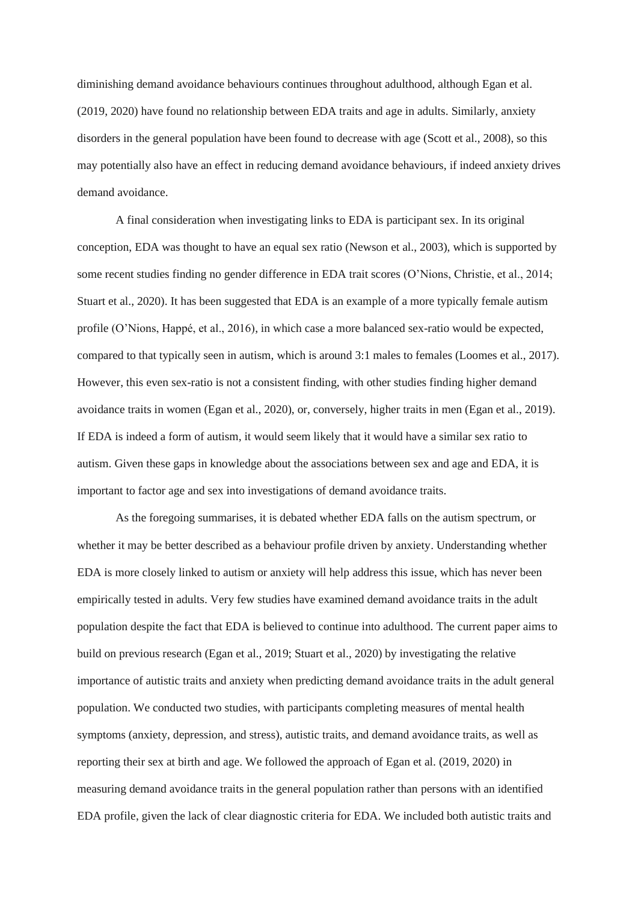diminishing demand avoidance behaviours continues throughout adulthood, although Egan et al. (2019, 2020) have found no relationship between EDA traits and age in adults. Similarly, anxiety disorders in the general population have been found to decrease with age (Scott et al., 2008), so this may potentially also have an effect in reducing demand avoidance behaviours, if indeed anxiety drives demand avoidance.

A final consideration when investigating links to EDA is participant sex. In its original conception, EDA was thought to have an equal sex ratio (Newson et al., 2003), which is supported by some recent studies finding no gender difference in EDA trait scores (O'Nions, Christie, et al., 2014; Stuart et al., 2020). It has been suggested that EDA is an example of a more typically female autism profile (O'Nions, Happé, et al., 2016), in which case a more balanced sex-ratio would be expected, compared to that typically seen in autism, which is around 3:1 males to females (Loomes et al., 2017). However, this even sex-ratio is not a consistent finding, with other studies finding higher demand avoidance traits in women (Egan et al., 2020), or, conversely, higher traits in men (Egan et al., 2019). If EDA is indeed a form of autism, it would seem likely that it would have a similar sex ratio to autism. Given these gaps in knowledge about the associations between sex and age and EDA, it is important to factor age and sex into investigations of demand avoidance traits.

As the foregoing summarises, it is debated whether EDA falls on the autism spectrum, or whether it may be better described as a behaviour profile driven by anxiety. Understanding whether EDA is more closely linked to autism or anxiety will help address this issue, which has never been empirically tested in adults. Very few studies have examined demand avoidance traits in the adult population despite the fact that EDA is believed to continue into adulthood. The current paper aims to build on previous research (Egan et al., 2019; Stuart et al., 2020) by investigating the relative importance of autistic traits and anxiety when predicting demand avoidance traits in the adult general population. We conducted two studies, with participants completing measures of mental health symptoms (anxiety, depression, and stress), autistic traits, and demand avoidance traits, as well as reporting their sex at birth and age. We followed the approach of Egan et al. (2019, 2020) in measuring demand avoidance traits in the general population rather than persons with an identified EDA profile, given the lack of clear diagnostic criteria for EDA. We included both autistic traits and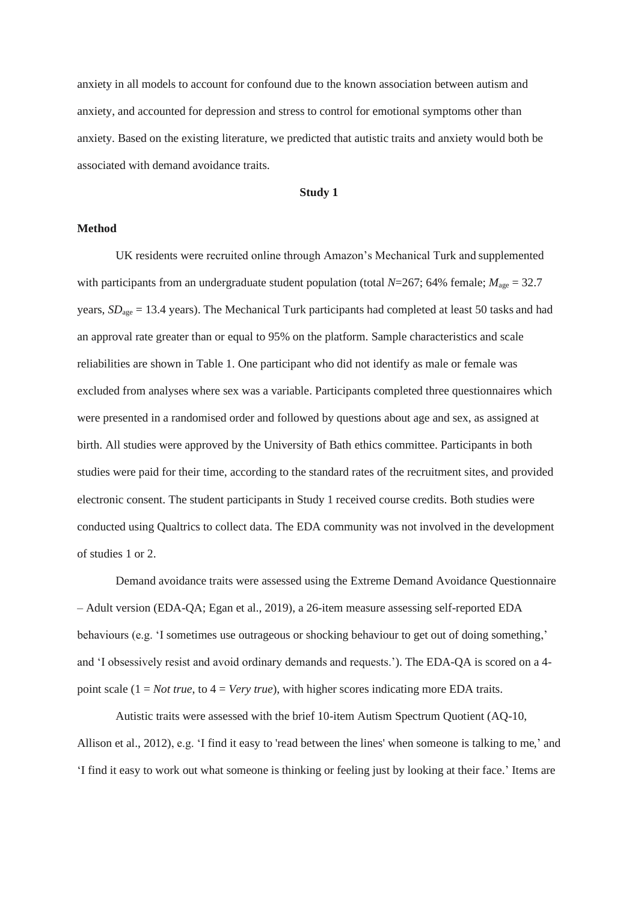anxiety in all models to account for confound due to the known association between autism and anxiety, and accounted for depression and stress to control for emotional symptoms other than anxiety. Based on the existing literature, we predicted that autistic traits and anxiety would both be associated with demand avoidance traits.

## **Study 1**

## **Method**

UK residents were recruited online through Amazon's Mechanical Turk and supplemented with participants from an undergraduate student population (total  $N=267$ ; 64% female;  $M_{\text{age}} = 32.7$ years, *SD*<sub>age</sub> = 13.4 years). The Mechanical Turk participants had completed at least 50 tasks and had an approval rate greater than or equal to 95% on the platform. Sample characteristics and scale reliabilities are shown in Table 1. One participant who did not identify as male or female was excluded from analyses where sex was a variable. Participants completed three questionnaires which were presented in a randomised order and followed by questions about age and sex, as assigned at birth. All studies were approved by the University of Bath ethics committee. Participants in both studies were paid for their time, according to the standard rates of the recruitment sites, and provided electronic consent. The student participants in Study 1 received course credits. Both studies were conducted using Qualtrics to collect data. The EDA community was not involved in the development of studies 1 or 2.

Demand avoidance traits were assessed using the Extreme Demand Avoidance Questionnaire – Adult version (EDA-QA; Egan et al., 2019), a 26-item measure assessing self-reported EDA behaviours (e.g. 'I sometimes use outrageous or shocking behaviour to get out of doing something,' and 'I obsessively resist and avoid ordinary demands and requests.'). The EDA-QA is scored on a 4 point scale  $(1 = Not true, to 4 = Very true)$ , with higher scores indicating more EDA traits.

Autistic traits were assessed with the brief 10-item Autism Spectrum Quotient (AQ-10, Allison et al., 2012), e.g. 'I find it easy to 'read between the lines' when someone is talking to me,' and 'I find it easy to work out what someone is thinking or feeling just by looking at their face.' Items are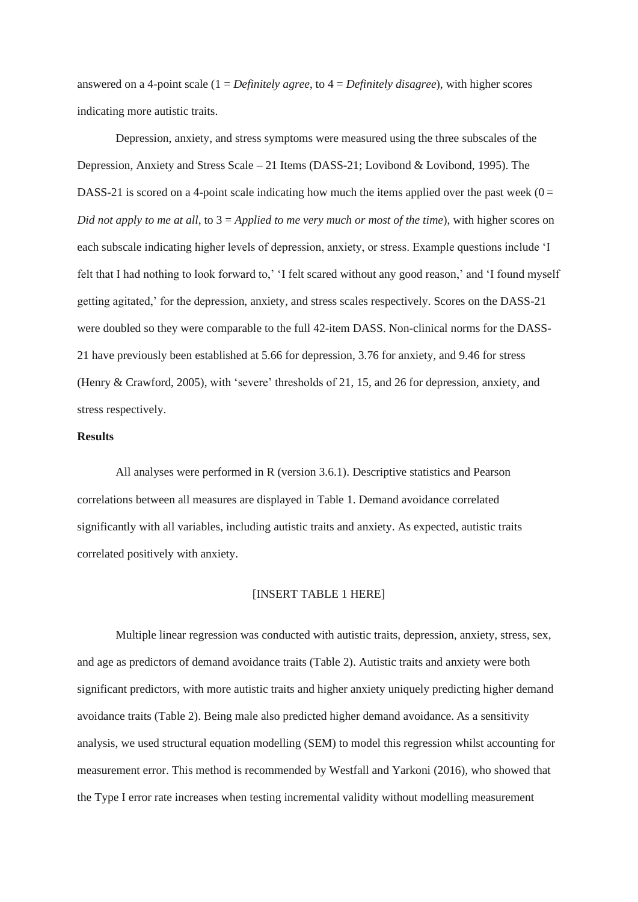answered on a 4-point scale (1 = *Definitely agree*, to 4 = *Definitely disagree*), with higher scores indicating more autistic traits.

Depression, anxiety, and stress symptoms were measured using the three subscales of the Depression, Anxiety and Stress Scale – 21 Items (DASS-21; Lovibond & Lovibond, 1995). The DASS-21 is scored on a 4-point scale indicating how much the items applied over the past week  $(0 =$ *Did not apply to me at all*, to 3 = *Applied to me very much or most of the time*), with higher scores on each subscale indicating higher levels of depression, anxiety, or stress. Example questions include 'I felt that I had nothing to look forward to,' 'I felt scared without any good reason,' and 'I found myself getting agitated,' for the depression, anxiety, and stress scales respectively. Scores on the DASS-21 were doubled so they were comparable to the full 42-item DASS. Non-clinical norms for the DASS-21 have previously been established at 5.66 for depression, 3.76 for anxiety, and 9.46 for stress (Henry & Crawford, 2005), with 'severe' thresholds of 21, 15, and 26 for depression, anxiety, and stress respectively.

## **Results**

All analyses were performed in R (version 3.6.1). Descriptive statistics and Pearson correlations between all measures are displayed in Table 1. Demand avoidance correlated significantly with all variables, including autistic traits and anxiety. As expected, autistic traits correlated positively with anxiety.

#### [INSERT TABLE 1 HERE]

Multiple linear regression was conducted with autistic traits, depression, anxiety, stress, sex, and age as predictors of demand avoidance traits (Table 2). Autistic traits and anxiety were both significant predictors, with more autistic traits and higher anxiety uniquely predicting higher demand avoidance traits (Table 2). Being male also predicted higher demand avoidance. As a sensitivity analysis, we used structural equation modelling (SEM) to model this regression whilst accounting for measurement error. This method is recommended by Westfall and Yarkoni (2016), who showed that the Type I error rate increases when testing incremental validity without modelling measurement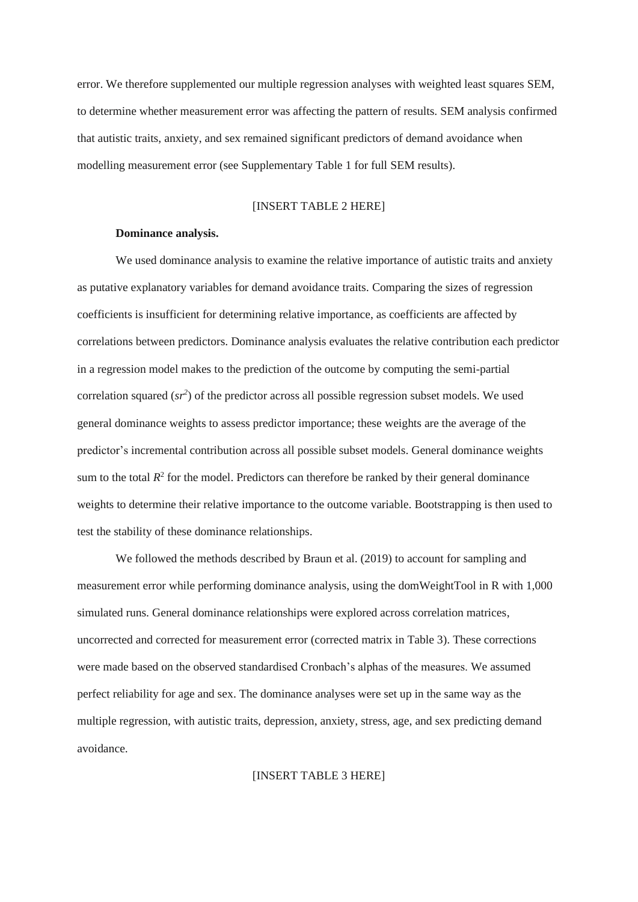error. We therefore supplemented our multiple regression analyses with weighted least squares SEM, to determine whether measurement error was affecting the pattern of results. SEM analysis confirmed that autistic traits, anxiety, and sex remained significant predictors of demand avoidance when modelling measurement error (see Supplementary Table 1 for full SEM results).

### [INSERT TABLE 2 HERE]

### **Dominance analysis.**

We used dominance analysis to examine the relative importance of autistic traits and anxiety as putative explanatory variables for demand avoidance traits. Comparing the sizes of regression coefficients is insufficient for determining relative importance, as coefficients are affected by correlations between predictors. Dominance analysis evaluates the relative contribution each predictor in a regression model makes to the prediction of the outcome by computing the semi-partial correlation squared  $(sr^2)$  of the predictor across all possible regression subset models. We used general dominance weights to assess predictor importance; these weights are the average of the predictor's incremental contribution across all possible subset models. General dominance weights sum to the total  $R<sup>2</sup>$  for the model. Predictors can therefore be ranked by their general dominance weights to determine their relative importance to the outcome variable. Bootstrapping is then used to test the stability of these dominance relationships.

We followed the methods described by Braun et al. (2019) to account for sampling and measurement error while performing dominance analysis, using the domWeightTool in R with 1,000 simulated runs. General dominance relationships were explored across correlation matrices, uncorrected and corrected for measurement error (corrected matrix in Table 3). These corrections were made based on the observed standardised Cronbach's alphas of the measures. We assumed perfect reliability for age and sex. The dominance analyses were set up in the same way as the multiple regression, with autistic traits, depression, anxiety, stress, age, and sex predicting demand avoidance.

[INSERT TABLE 3 HERE]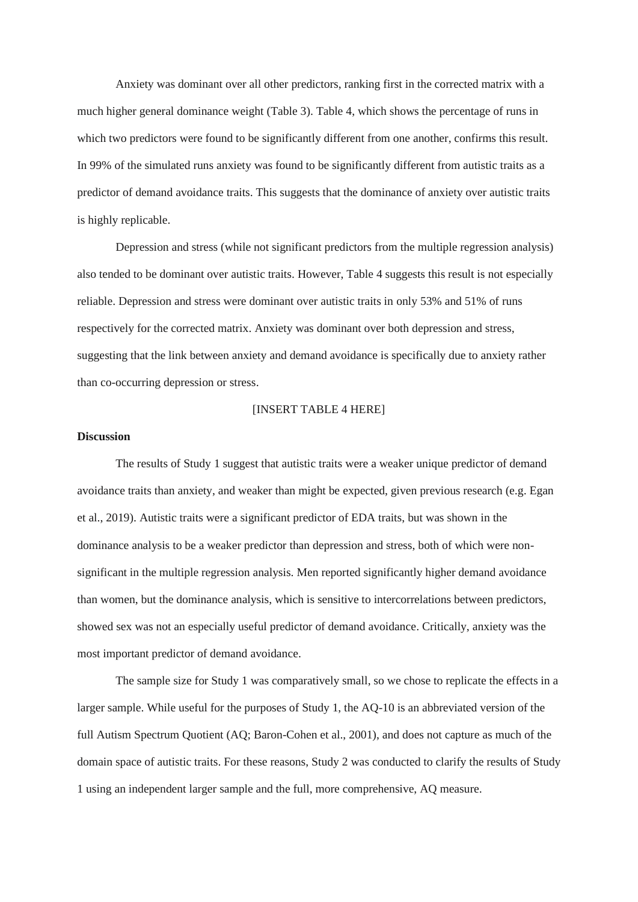Anxiety was dominant over all other predictors, ranking first in the corrected matrix with a much higher general dominance weight (Table 3). Table 4, which shows the percentage of runs in which two predictors were found to be significantly different from one another, confirms this result. In 99% of the simulated runs anxiety was found to be significantly different from autistic traits as a predictor of demand avoidance traits. This suggests that the dominance of anxiety over autistic traits is highly replicable.

Depression and stress (while not significant predictors from the multiple regression analysis) also tended to be dominant over autistic traits. However, Table 4 suggests this result is not especially reliable. Depression and stress were dominant over autistic traits in only 53% and 51% of runs respectively for the corrected matrix. Anxiety was dominant over both depression and stress, suggesting that the link between anxiety and demand avoidance is specifically due to anxiety rather than co-occurring depression or stress.

### [INSERT TABLE 4 HERE]

## **Discussion**

The results of Study 1 suggest that autistic traits were a weaker unique predictor of demand avoidance traits than anxiety, and weaker than might be expected, given previous research (e.g. Egan et al., 2019). Autistic traits were a significant predictor of EDA traits, but was shown in the dominance analysis to be a weaker predictor than depression and stress, both of which were nonsignificant in the multiple regression analysis. Men reported significantly higher demand avoidance than women, but the dominance analysis, which is sensitive to intercorrelations between predictors, showed sex was not an especially useful predictor of demand avoidance. Critically, anxiety was the most important predictor of demand avoidance.

The sample size for Study 1 was comparatively small, so we chose to replicate the effects in a larger sample. While useful for the purposes of Study 1, the AQ-10 is an abbreviated version of the full Autism Spectrum Quotient (AQ; Baron-Cohen et al., 2001), and does not capture as much of the domain space of autistic traits. For these reasons, Study 2 was conducted to clarify the results of Study 1 using an independent larger sample and the full, more comprehensive, AQ measure.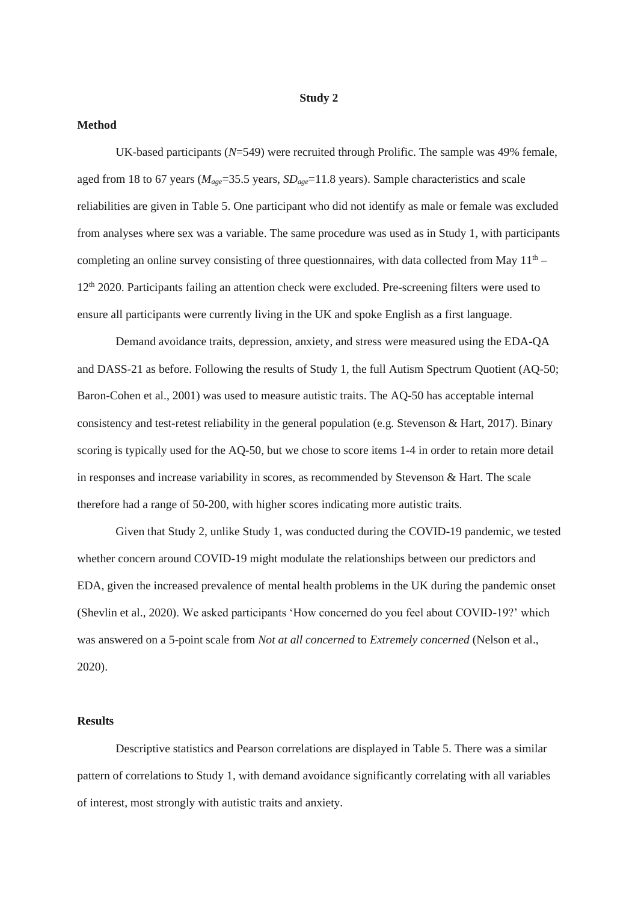#### **Study 2**

# **Method**

UK-based participants (*N*=549) were recruited through Prolific. The sample was 49% female, aged from 18 to 67 years (*Mage*=35.5 years, *SDage*=11.8 years). Sample characteristics and scale reliabilities are given in Table 5. One participant who did not identify as male or female was excluded from analyses where sex was a variable. The same procedure was used as in Study 1, with participants completing an online survey consisting of three questionnaires, with data collected from May  $11<sup>th</sup>$  – 12th 2020. Participants failing an attention check were excluded. Pre-screening filters were used to ensure all participants were currently living in the UK and spoke English as a first language.

Demand avoidance traits, depression, anxiety, and stress were measured using the EDA-QA and DASS-21 as before. Following the results of Study 1, the full Autism Spectrum Quotient (AQ-50; Baron-Cohen et al., 2001) was used to measure autistic traits. The AQ-50 has acceptable internal consistency and test-retest reliability in the general population (e.g. Stevenson & Hart, 2017). Binary scoring is typically used for the AQ-50, but we chose to score items 1-4 in order to retain more detail in responses and increase variability in scores, as recommended by Stevenson & Hart. The scale therefore had a range of 50-200, with higher scores indicating more autistic traits.

Given that Study 2, unlike Study 1, was conducted during the COVID-19 pandemic, we tested whether concern around COVID-19 might modulate the relationships between our predictors and EDA, given the increased prevalence of mental health problems in the UK during the pandemic onset (Shevlin et al., 2020). We asked participants 'How concerned do you feel about COVID-19?' which was answered on a 5-point scale from *Not at all concerned* to *Extremely concerned* (Nelson et al., 2020).

## **Results**

Descriptive statistics and Pearson correlations are displayed in Table 5. There was a similar pattern of correlations to Study 1, with demand avoidance significantly correlating with all variables of interest, most strongly with autistic traits and anxiety.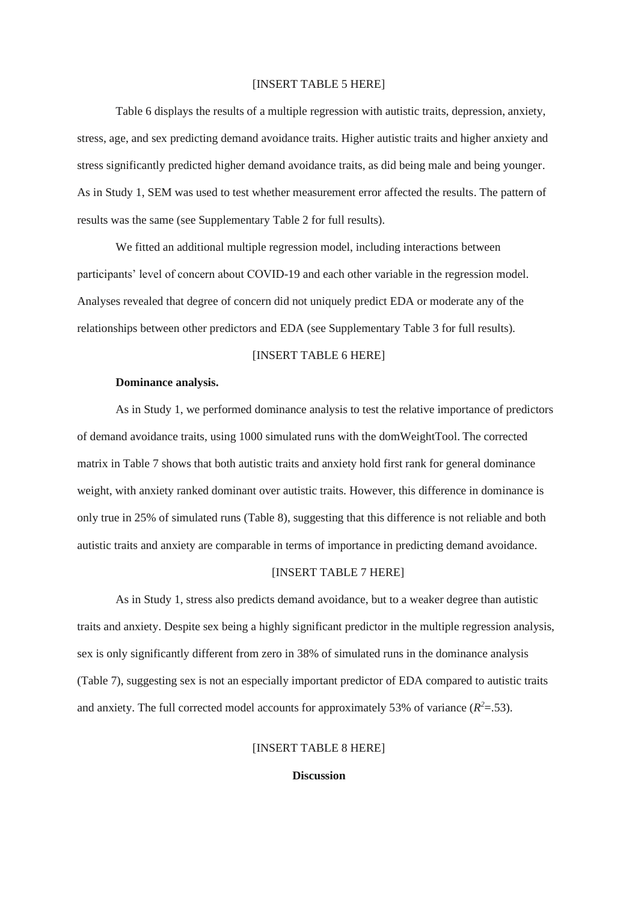#### [INSERT TABLE 5 HERE]

Table 6 displays the results of a multiple regression with autistic traits, depression, anxiety, stress, age, and sex predicting demand avoidance traits. Higher autistic traits and higher anxiety and stress significantly predicted higher demand avoidance traits, as did being male and being younger. As in Study 1, SEM was used to test whether measurement error affected the results. The pattern of results was the same (see Supplementary Table 2 for full results).

We fitted an additional multiple regression model, including interactions between participants' level of concern about COVID-19 and each other variable in the regression model. Analyses revealed that degree of concern did not uniquely predict EDA or moderate any of the relationships between other predictors and EDA (see Supplementary Table 3 for full results).

## [INSERT TABLE 6 HERE]

#### **Dominance analysis.**

As in Study 1, we performed dominance analysis to test the relative importance of predictors of demand avoidance traits, using 1000 simulated runs with the domWeightTool. The corrected matrix in Table 7 shows that both autistic traits and anxiety hold first rank for general dominance weight, with anxiety ranked dominant over autistic traits. However, this difference in dominance is only true in 25% of simulated runs (Table 8), suggesting that this difference is not reliable and both autistic traits and anxiety are comparable in terms of importance in predicting demand avoidance.

## [INSERT TABLE 7 HERE]

As in Study 1, stress also predicts demand avoidance, but to a weaker degree than autistic traits and anxiety. Despite sex being a highly significant predictor in the multiple regression analysis, sex is only significantly different from zero in 38% of simulated runs in the dominance analysis (Table 7), suggesting sex is not an especially important predictor of EDA compared to autistic traits and anxiety. The full corrected model accounts for approximately 53% of variance  $(R^2 = 0.53)$ .

## [INSERT TABLE 8 HERE]

### **Discussion**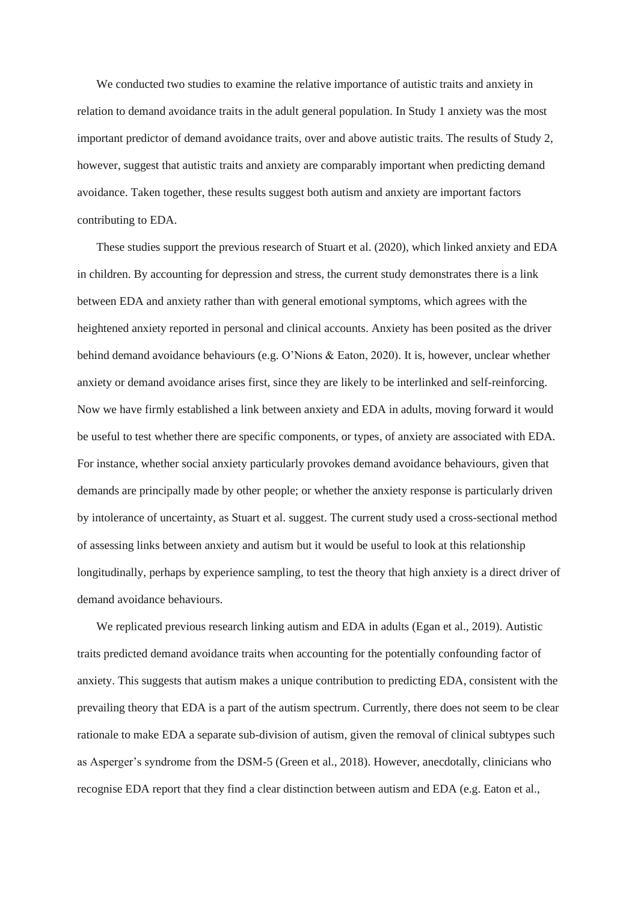We conducted two studies to examine the relative importance of autistic traits and anxiety in relation to demand avoidance traits in the adult general population. In Study 1 anxiety was the most important predictor of demand avoidance traits, over and above autistic traits. The results of Study 2, however, suggest that autistic traits and anxiety are comparably important when predicting demand avoidance. Taken together, these results suggest both autism and anxiety are important factors contributing to EDA.

These studies support the previous research of Stuart et al. (2020), which linked anxiety and EDA in children. By accounting for depression and stress, the current study demonstrates there is a link between EDA and anxiety rather than with general emotional symptoms, which agrees with the heightened anxiety reported in personal and clinical accounts. Anxiety has been posited as the driver behind demand avoidance behaviours (e.g. O'Nions & Eaton, 2020). It is, however, unclear whether anxiety or demand avoidance arises first, since they are likely to be interlinked and self-reinforcing. Now we have firmly established a link between anxiety and EDA in adults, moving forward it would be useful to test whether there are specific components, or types, of anxiety are associated with EDA. For instance, whether social anxiety particularly provokes demand avoidance behaviours, given that demands are principally made by other people; or whether the anxiety response is particularly driven by intolerance of uncertainty, as Stuart et al. suggest. The current study used a cross-sectional method of assessing links between anxiety and autism but it would be useful to look at this relationship longitudinally, perhaps by experience sampling, to test the theory that high anxiety is a direct driver of demand avoidance behaviours.

We replicated previous research linking autism and EDA in adults (Egan et al., 2019). Autistic traits predicted demand avoidance traits when accounting for the potentially confounding factor of anxiety. This suggests that autism makes a unique contribution to predicting EDA, consistent with the prevailing theory that EDA is a part of the autism spectrum. Currently, there does not seem to be clear rationale to make EDA a separate sub-division of autism, given the removal of clinical subtypes such as Asperger's syndrome from the DSM-5 (Green et al., 2018). However, anecdotally, clinicians who recognise EDA report that they find a clear distinction between autism and EDA (e.g. Eaton et al.,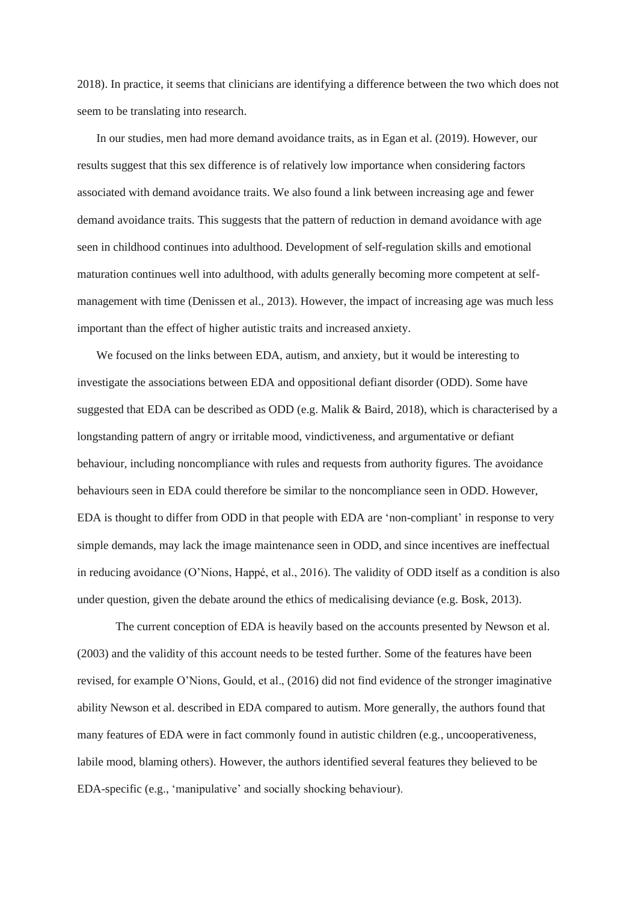2018). In practice, it seems that clinicians are identifying a difference between the two which does not seem to be translating into research.

In our studies, men had more demand avoidance traits, as in Egan et al. (2019). However, our results suggest that this sex difference is of relatively low importance when considering factors associated with demand avoidance traits. We also found a link between increasing age and fewer demand avoidance traits. This suggests that the pattern of reduction in demand avoidance with age seen in childhood continues into adulthood. Development of self-regulation skills and emotional maturation continues well into adulthood, with adults generally becoming more competent at selfmanagement with time (Denissen et al., 2013). However, the impact of increasing age was much less important than the effect of higher autistic traits and increased anxiety.

We focused on the links between EDA, autism, and anxiety, but it would be interesting to investigate the associations between EDA and oppositional defiant disorder (ODD). Some have suggested that EDA can be described as ODD (e.g. Malik & Baird, 2018), which is characterised by a longstanding pattern of angry or irritable mood, vindictiveness, and argumentative or defiant behaviour, including noncompliance with rules and requests from authority figures. The avoidance behaviours seen in EDA could therefore be similar to the noncompliance seen in ODD. However, EDA is thought to differ from ODD in that people with EDA are 'non-compliant' in response to very simple demands, may lack the image maintenance seen in ODD, and since incentives are ineffectual in reducing avoidance (O'Nions, Happé, et al., 2016). The validity of ODD itself as a condition is also under question, given the debate around the ethics of medicalising deviance (e.g. Bosk, 2013).

The current conception of EDA is heavily based on the accounts presented by Newson et al. (2003) and the validity of this account needs to be tested further. Some of the features have been revised, for example O'Nions, Gould, et al., (2016) did not find evidence of the stronger imaginative ability Newson et al. described in EDA compared to autism. More generally, the authors found that many features of EDA were in fact commonly found in autistic children (e.g., uncooperativeness, labile mood, blaming others). However, the authors identified several features they believed to be EDA-specific (e.g., 'manipulative' and socially shocking behaviour).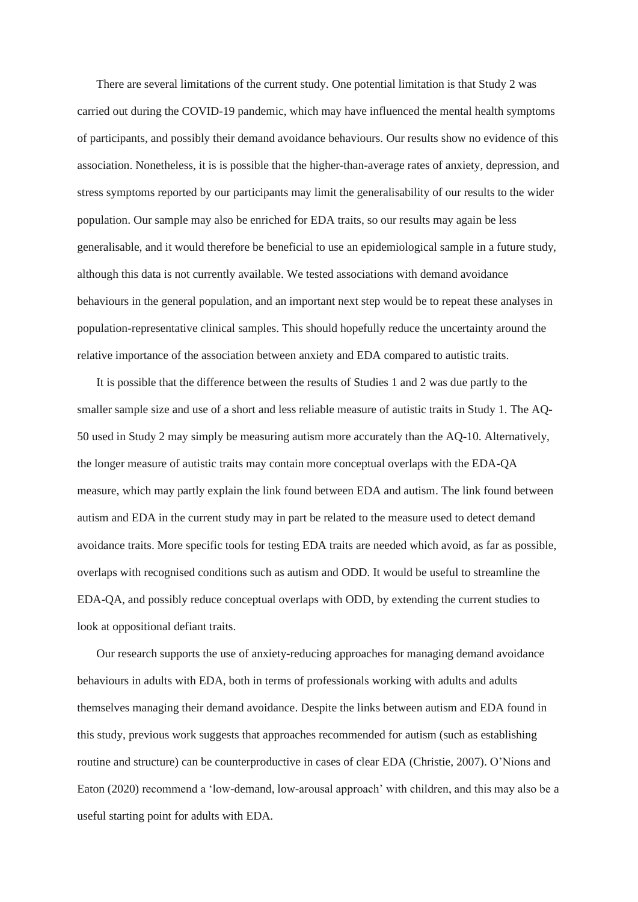There are several limitations of the current study. One potential limitation is that Study 2 was carried out during the COVID-19 pandemic, which may have influenced the mental health symptoms of participants, and possibly their demand avoidance behaviours. Our results show no evidence of this association. Nonetheless, it is is possible that the higher-than-average rates of anxiety, depression, and stress symptoms reported by our participants may limit the generalisability of our results to the wider population. Our sample may also be enriched for EDA traits, so our results may again be less generalisable, and it would therefore be beneficial to use an epidemiological sample in a future study, although this data is not currently available. We tested associations with demand avoidance behaviours in the general population, and an important next step would be to repeat these analyses in population-representative clinical samples. This should hopefully reduce the uncertainty around the relative importance of the association between anxiety and EDA compared to autistic traits.

It is possible that the difference between the results of Studies 1 and 2 was due partly to the smaller sample size and use of a short and less reliable measure of autistic traits in Study 1. The AQ-50 used in Study 2 may simply be measuring autism more accurately than the AQ-10. Alternatively, the longer measure of autistic traits may contain more conceptual overlaps with the EDA-QA measure, which may partly explain the link found between EDA and autism. The link found between autism and EDA in the current study may in part be related to the measure used to detect demand avoidance traits. More specific tools for testing EDA traits are needed which avoid, as far as possible, overlaps with recognised conditions such as autism and ODD. It would be useful to streamline the EDA-QA, and possibly reduce conceptual overlaps with ODD, by extending the current studies to look at oppositional defiant traits.

Our research supports the use of anxiety-reducing approaches for managing demand avoidance behaviours in adults with EDA, both in terms of professionals working with adults and adults themselves managing their demand avoidance. Despite the links between autism and EDA found in this study, previous work suggests that approaches recommended for autism (such as establishing routine and structure) can be counterproductive in cases of clear EDA (Christie, 2007). O'Nions and Eaton (2020) recommend a 'low-demand, low-arousal approach' with children, and this may also be a useful starting point for adults with EDA.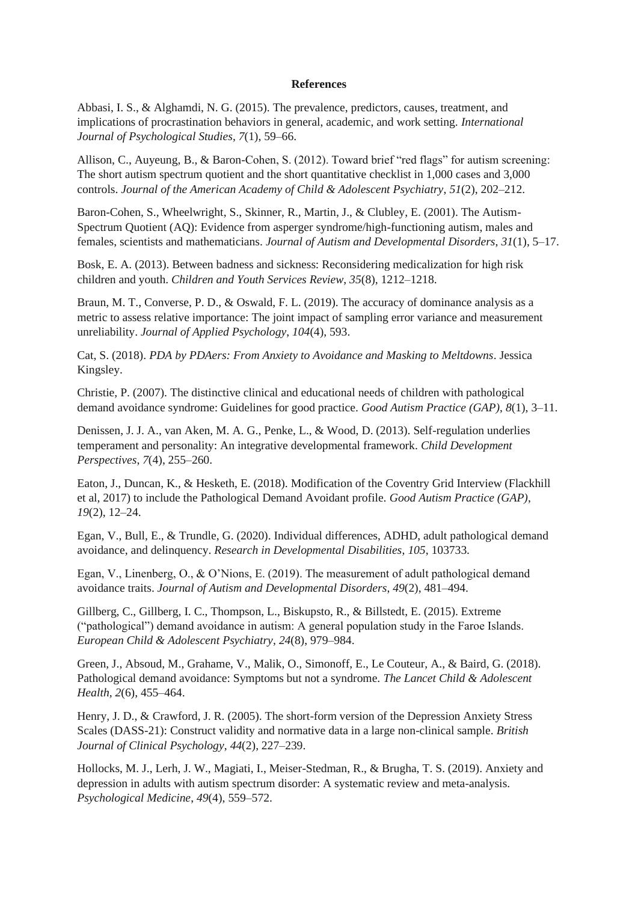### **References**

Abbasi, I. S., & Alghamdi, N. G. (2015). The prevalence, predictors, causes, treatment, and implications of procrastination behaviors in general, academic, and work setting. *International Journal of Psychological Studies*, *7*(1), 59–66.

Allison, C., Auyeung, B., & Baron-Cohen, S. (2012). Toward brief "red flags" for autism screening: The short autism spectrum quotient and the short quantitative checklist in 1,000 cases and 3,000 controls. *Journal of the American Academy of Child & Adolescent Psychiatry*, *51*(2), 202–212.

Baron-Cohen, S., Wheelwright, S., Skinner, R., Martin, J., & Clubley, E. (2001). The Autism-Spectrum Quotient (AQ): Evidence from asperger syndrome/high-functioning autism, males and females, scientists and mathematicians. *Journal of Autism and Developmental Disorders*, *31*(1), 5–17.

Bosk, E. A. (2013). Between badness and sickness: Reconsidering medicalization for high risk children and youth. *Children and Youth Services Review*, *35*(8), 1212–1218.

Braun, M. T., Converse, P. D., & Oswald, F. L. (2019). The accuracy of dominance analysis as a metric to assess relative importance: The joint impact of sampling error variance and measurement unreliability. *Journal of Applied Psychology*, *104*(4), 593.

Cat, S. (2018). *PDA by PDAers: From Anxiety to Avoidance and Masking to Meltdowns*. Jessica Kingsley.

Christie, P. (2007). The distinctive clinical and educational needs of children with pathological demand avoidance syndrome: Guidelines for good practice. *Good Autism Practice (GAP)*, *8*(1), 3–11.

Denissen, J. J. A., van Aken, M. A. G., Penke, L., & Wood, D. (2013). Self-regulation underlies temperament and personality: An integrative developmental framework. *Child Development Perspectives*, *7*(4), 255–260.

Eaton, J., Duncan, K., & Hesketh, E. (2018). Modification of the Coventry Grid Interview (Flackhill et al, 2017) to include the Pathological Demand Avoidant profile. *Good Autism Practice (GAP)*, *19*(2), 12–24.

Egan, V., Bull, E., & Trundle, G. (2020). Individual differences, ADHD, adult pathological demand avoidance, and delinquency. *Research in Developmental Disabilities*, *105*, 103733.

Egan, V., Linenberg, O., & O'Nions, E. (2019). The measurement of adult pathological demand avoidance traits. *Journal of Autism and Developmental Disorders*, *49*(2), 481–494.

Gillberg, C., Gillberg, I. C., Thompson, L., Biskupsto, R., & Billstedt, E. (2015). Extreme ("pathological") demand avoidance in autism: A general population study in the Faroe Islands. *European Child & Adolescent Psychiatry*, *24*(8), 979–984.

Green, J., Absoud, M., Grahame, V., Malik, O., Simonoff, E., Le Couteur, A., & Baird, G. (2018). Pathological demand avoidance: Symptoms but not a syndrome. *The Lancet Child & Adolescent Health*, *2*(6), 455–464.

Henry, J. D., & Crawford, J. R. (2005). The short-form version of the Depression Anxiety Stress Scales (DASS-21): Construct validity and normative data in a large non-clinical sample. *British Journal of Clinical Psychology*, *44*(2), 227–239.

Hollocks, M. J., Lerh, J. W., Magiati, I., Meiser-Stedman, R., & Brugha, T. S. (2019). Anxiety and depression in adults with autism spectrum disorder: A systematic review and meta-analysis. *Psychological Medicine*, *49*(4), 559–572.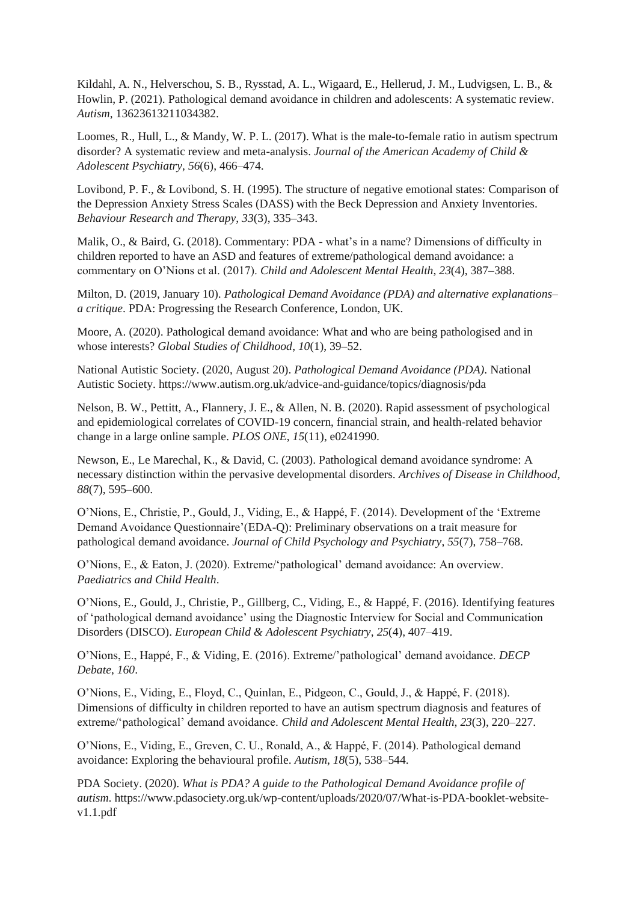Kildahl, A. N., Helverschou, S. B., Rysstad, A. L., Wigaard, E., Hellerud, J. M., Ludvigsen, L. B., & Howlin, P. (2021). Pathological demand avoidance in children and adolescents: A systematic review. *Autism*, 13623613211034382.

Loomes, R., Hull, L., & Mandy, W. P. L. (2017). What is the male-to-female ratio in autism spectrum disorder? A systematic review and meta-analysis. *Journal of the American Academy of Child & Adolescent Psychiatry*, *56*(6), 466–474.

Lovibond, P. F., & Lovibond, S. H. (1995). The structure of negative emotional states: Comparison of the Depression Anxiety Stress Scales (DASS) with the Beck Depression and Anxiety Inventories. *Behaviour Research and Therapy*, *33*(3), 335–343.

Malik, O., & Baird, G. (2018). Commentary: PDA - what's in a name? Dimensions of difficulty in children reported to have an ASD and features of extreme/pathological demand avoidance: a commentary on O'Nions et al. (2017). *Child and Adolescent Mental Health*, *23*(4), 387–388.

Milton, D. (2019, January 10). *Pathological Demand Avoidance (PDA) and alternative explanations– a critique*. PDA: Progressing the Research Conference, London, UK.

Moore, A. (2020). Pathological demand avoidance: What and who are being pathologised and in whose interests? *Global Studies of Childhood*, *10*(1), 39–52.

National Autistic Society. (2020, August 20). *Pathological Demand Avoidance (PDA)*. National Autistic Society. https://www.autism.org.uk/advice-and-guidance/topics/diagnosis/pda

Nelson, B. W., Pettitt, A., Flannery, J. E., & Allen, N. B. (2020). Rapid assessment of psychological and epidemiological correlates of COVID-19 concern, financial strain, and health-related behavior change in a large online sample. *PLOS ONE*, *15*(11), e0241990.

Newson, E., Le Marechal, K., & David, C. (2003). Pathological demand avoidance syndrome: A necessary distinction within the pervasive developmental disorders. *Archives of Disease in Childhood*, *88*(7), 595–600.

O'Nions, E., Christie, P., Gould, J., Viding, E., & Happé, F. (2014). Development of the 'Extreme Demand Avoidance Questionnaire'(EDA-Q): Preliminary observations on a trait measure for pathological demand avoidance. *Journal of Child Psychology and Psychiatry*, *55*(7), 758–768.

O'Nions, E., & Eaton, J. (2020). Extreme/'pathological' demand avoidance: An overview. *Paediatrics and Child Health*.

O'Nions, E., Gould, J., Christie, P., Gillberg, C., Viding, E., & Happé, F. (2016). Identifying features of 'pathological demand avoidance' using the Diagnostic Interview for Social and Communication Disorders (DISCO). *European Child & Adolescent Psychiatry*, *25*(4), 407–419.

O'Nions, E., Happé, F., & Viding, E. (2016). Extreme/'pathological' demand avoidance. *DECP Debate*, *160*.

O'Nions, E., Viding, E., Floyd, C., Quinlan, E., Pidgeon, C., Gould, J., & Happé, F. (2018). Dimensions of difficulty in children reported to have an autism spectrum diagnosis and features of extreme/'pathological' demand avoidance. *Child and Adolescent Mental Health*, *23*(3), 220–227.

O'Nions, E., Viding, E., Greven, C. U., Ronald, A., & Happé, F. (2014). Pathological demand avoidance: Exploring the behavioural profile. *Autism*, *18*(5), 538–544.

PDA Society. (2020). *What is PDA? A guide to the Pathological Demand Avoidance profile of autism*. https://www.pdasociety.org.uk/wp-content/uploads/2020/07/What-is-PDA-booklet-websitev1.1.pdf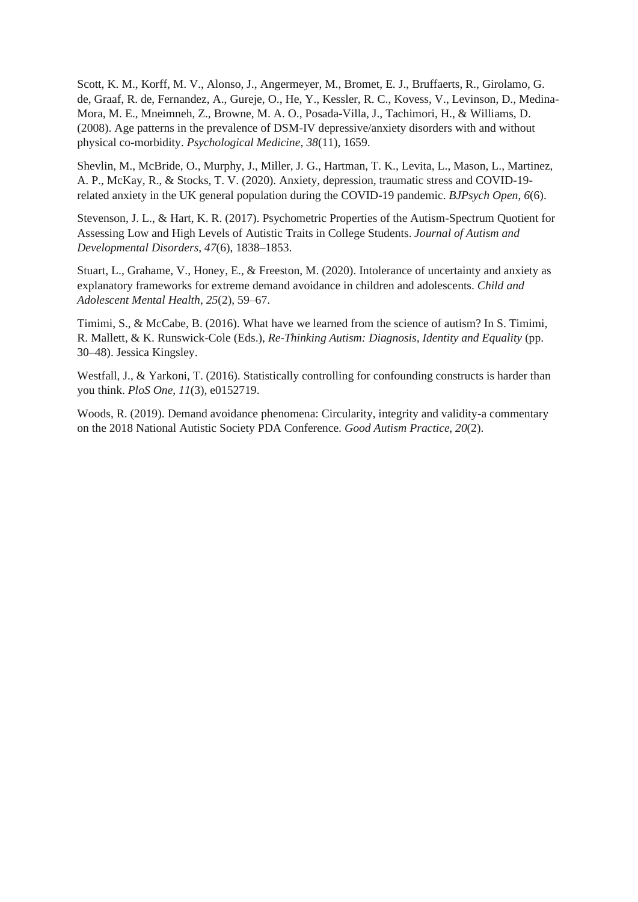Scott, K. M., Korff, M. V., Alonso, J., Angermeyer, M., Bromet, E. J., Bruffaerts, R., Girolamo, G. de, Graaf, R. de, Fernandez, A., Gureje, O., He, Y., Kessler, R. C., Kovess, V., Levinson, D., Medina-Mora, M. E., Mneimneh, Z., Browne, M. A. O., Posada-Villa, J., Tachimori, H., & Williams, D. (2008). Age patterns in the prevalence of DSM-IV depressive/anxiety disorders with and without physical co-morbidity. *Psychological Medicine*, *38*(11), 1659.

Shevlin, M., McBride, O., Murphy, J., Miller, J. G., Hartman, T. K., Levita, L., Mason, L., Martinez, A. P., McKay, R., & Stocks, T. V. (2020). Anxiety, depression, traumatic stress and COVID-19 related anxiety in the UK general population during the COVID-19 pandemic. *BJPsych Open*, *6*(6).

Stevenson, J. L., & Hart, K. R. (2017). Psychometric Properties of the Autism-Spectrum Quotient for Assessing Low and High Levels of Autistic Traits in College Students. *Journal of Autism and Developmental Disorders*, *47*(6), 1838–1853.

Stuart, L., Grahame, V., Honey, E., & Freeston, M. (2020). Intolerance of uncertainty and anxiety as explanatory frameworks for extreme demand avoidance in children and adolescents. *Child and Adolescent Mental Health*, *25*(2), 59–67.

Timimi, S., & McCabe, B. (2016). What have we learned from the science of autism? In S. Timimi, R. Mallett, & K. Runswick-Cole (Eds.), *Re-Thinking Autism: Diagnosis, Identity and Equality* (pp. 30–48). Jessica Kingsley.

Westfall, J., & Yarkoni, T. (2016). Statistically controlling for confounding constructs is harder than you think. *PloS One*, *11*(3), e0152719.

Woods, R. (2019). Demand avoidance phenomena: Circularity, integrity and validity-a commentary on the 2018 National Autistic Society PDA Conference. *Good Autism Practice*, *20*(2).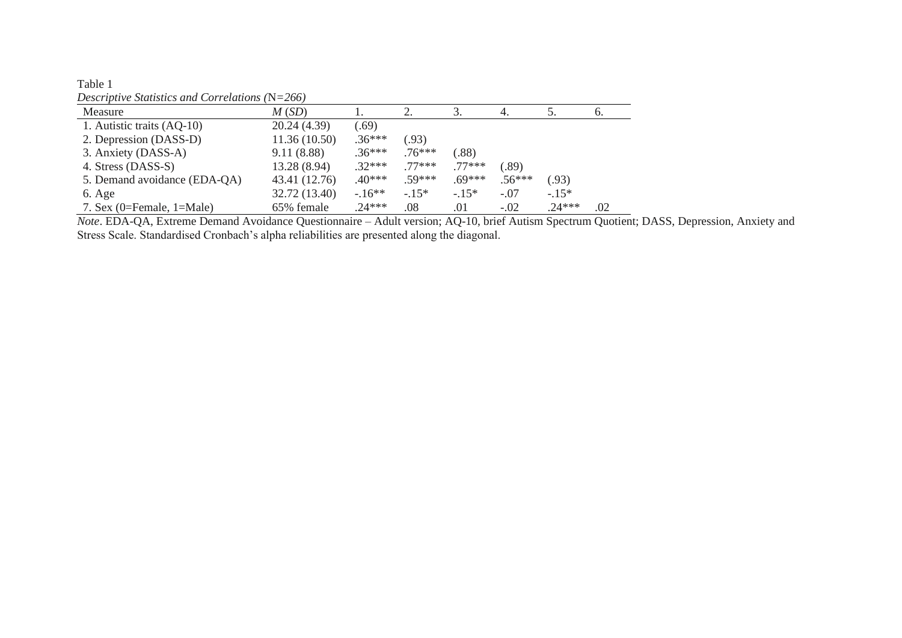| Table 1                                           |  |
|---------------------------------------------------|--|
| Descriptive Statistics and Correlations $(N=266)$ |  |

| Measure                      | M(SD)         |          |          |          | 4.       |          | $\sigma$ . |
|------------------------------|---------------|----------|----------|----------|----------|----------|------------|
| 1. Autistic traits (AQ-10)   | 20.24 (4.39)  | (.69)    |          |          |          |          |            |
| 2. Depression (DASS-D)       | 11.36(10.50)  | $.36***$ | (93)     |          |          |          |            |
| 3. Anxiety (DASS-A)          | 9.11(8.88)    | $.36***$ | $.76***$ | (.88)    |          |          |            |
| 4. Stress (DASS-S)           | 13.28 (8.94)  | $.32***$ | $77***$  | $77***$  | (.89)    |          |            |
| 5. Demand avoidance (EDA-QA) | 43.41 (12.76) | $.40***$ | $59***$  | $.69***$ | $.56***$ | (.93)    |            |
| 6. Age                       | 32.72 (13.40) | $-16**$  | $-15*$   | $-15*$   | $-.07$   | $-.15*$  |            |
| 7. Sex $(0=Female, 1=Male)$  | 65% female    | $.24***$ | .08      | .01      | $-.02$   | $.24***$ | .02        |

*Note*. EDA-QA, Extreme Demand Avoidance Questionnaire – Adult version; AQ-10, brief Autism Spectrum Quotient; DASS, Depression, Anxiety and Stress Scale. Standardised Cronbach's alpha reliabilities are presented along the diagonal.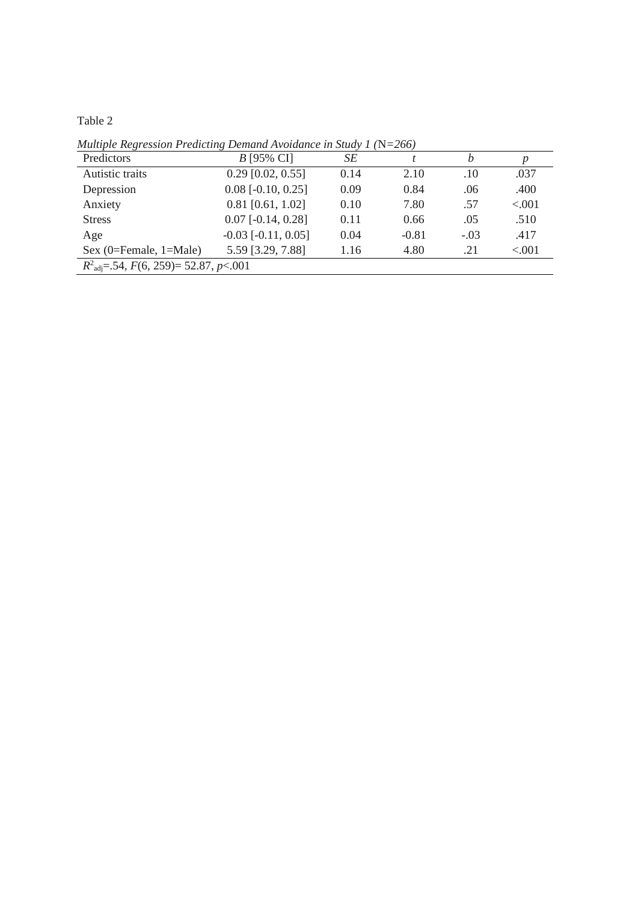Table 2

Predictors *B* [95% CI] *SE t b p* Autistic traits 0.29 [0.02, 0.55] 0.14 2.10 .10 .037 Depression 0.08 [-0.10, 0.25] 0.09 0.84 .06 .400<br>Anxiety 0.81 [0.61, 1.02] 0.10 7.80 .57 <.001 Anxiety 0.81 [0.61, 1.02] 0.10 7.80 .57 <.001 Stress 0.07 [-0.14, 0.28] 0.11 0.66 .05 .510 Age  $-0.03 [-0.11, 0.05]$   $0.04$   $-0.81$   $-0.03$   $.417$ Sex (0=Female, 1=Male) 5.59 [3.29, 7.88] 1.16 4.80 .21 <.001 *R* 2 adj=.54, *F*(6, 259)= 52.87, *p*<.001

*Multiple Regression Predicting Demand Avoidance in Study 1 (*N*=266)*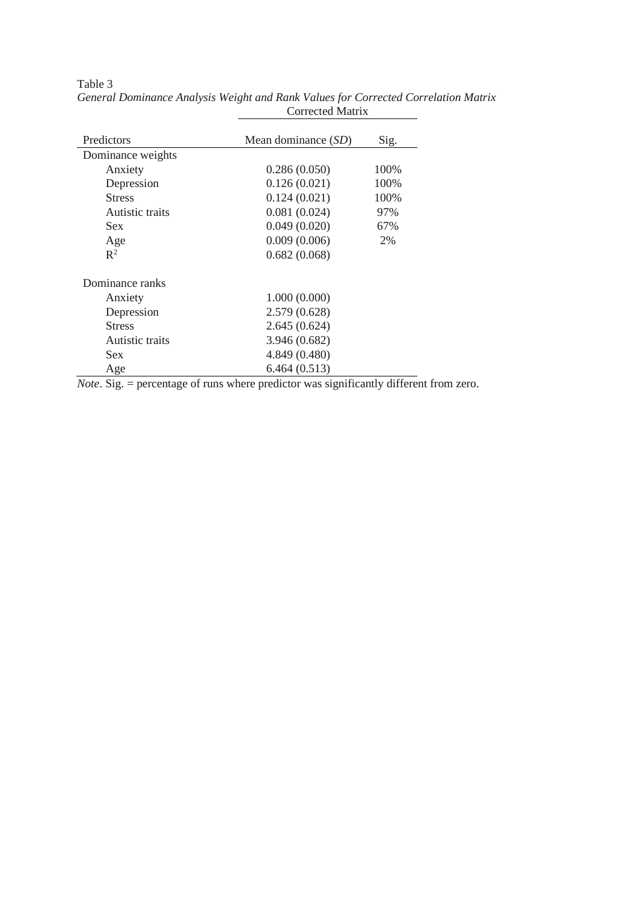| Predictors        | Mean dominance (SD) | Sig. |
|-------------------|---------------------|------|
| Dominance weights |                     |      |
| Anxiety           | 0.286(0.050)        | 100% |
| Depression        | 0.126(0.021)        | 100% |
| <b>Stress</b>     | 0.124(0.021)        | 100% |
| Autistic traits   | 0.081(0.024)        | 97%  |
| <b>Sex</b>        | 0.049(0.020)        | 67%  |
| Age               | 0.009(0.006)        | 2%   |
| $\mathbb{R}^2$    | 0.682(0.068)        |      |
| Dominance ranks   |                     |      |
| Anxiety           | 1.000(0.000)        |      |
| Depression        | 2.579 (0.628)       |      |
| <b>Stress</b>     | 2.645(0.624)        |      |
| Autistic traits   | 3.946 (0.682)       |      |
| <b>Sex</b>        | 4.849 (0.480)       |      |
| Age               | 6.464(0.513)        |      |

Table 3 *General Dominance Analysis Weight and Rank Values for Corrected Correlation Matrix* Corrected Matrix

*Note*. Sig. = percentage of runs where predictor was significantly different from zero.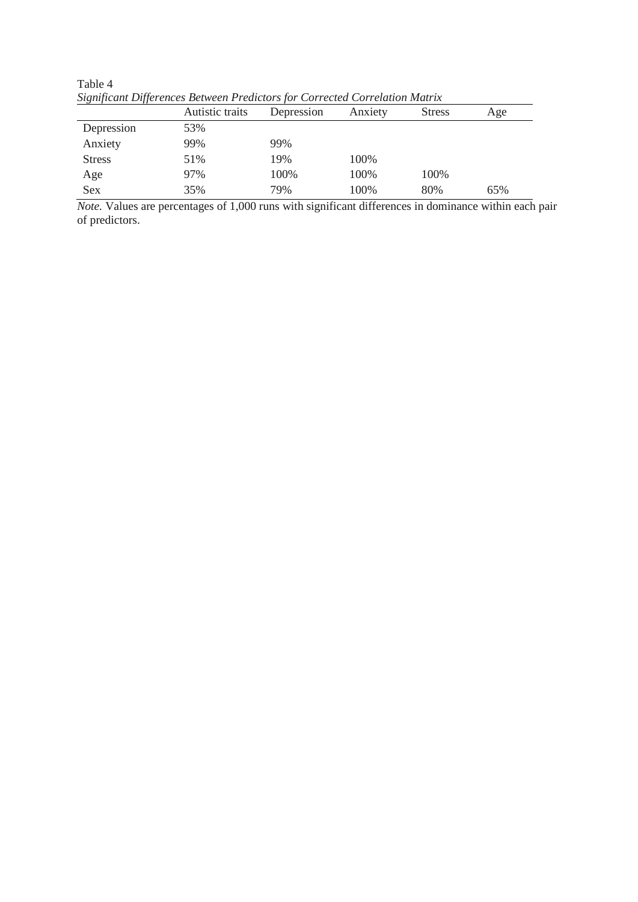|               | Autistic traits | Depression | Anxiety | <b>Stress</b> | Age |
|---------------|-----------------|------------|---------|---------------|-----|
| Depression    | 53%             |            |         |               |     |
| Anxiety       | 99%             | 99%        |         |               |     |
| <b>Stress</b> | 51%             | 19%        | 100%    |               |     |
| Age           | 97%             | 100%       | 100%    | 100%          |     |
| Sex           | 35%             | 79%        | 100%    | 80%           | 65% |

Table 4 *Significant Differences Between Predictors for Corrected Correlation Matrix*

*Note.* Values are percentages of 1,000 runs with significant differences in dominance within each pair of predictors.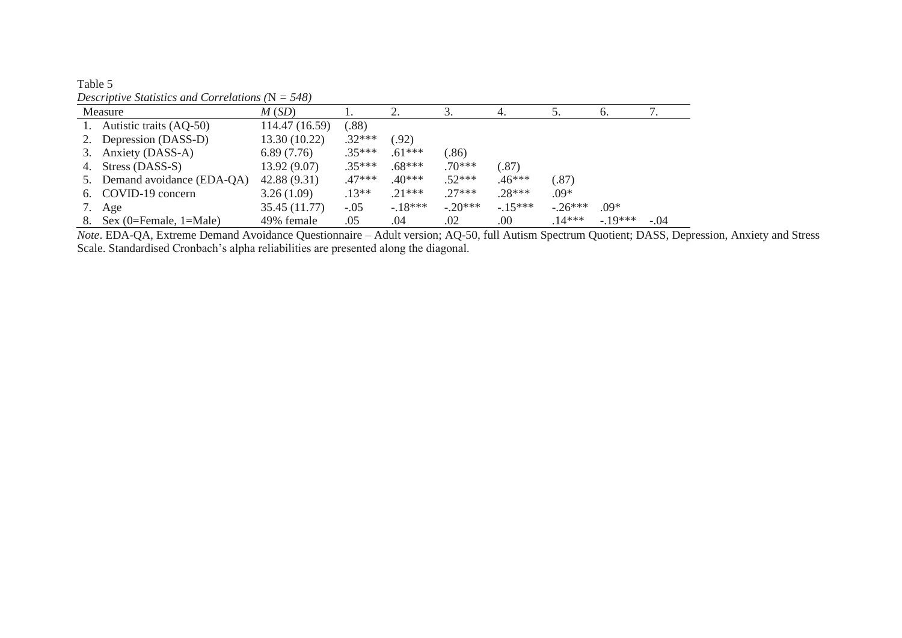| Descriptive situations and Correlations $(x - \sigma)$ |                              |                |          |           |           |           |          |            |        |
|--------------------------------------------------------|------------------------------|----------------|----------|-----------|-----------|-----------|----------|------------|--------|
|                                                        | Measure                      | M(SD)          |          |           |           | 4.        | C.       | $\sigma$ . |        |
|                                                        | 1. Autistic traits (AQ-50)   | 114.47 (16.59) | (.88)    |           |           |           |          |            |        |
|                                                        | 2. Depression (DASS-D)       | 13.30 (10.22)  | $.32***$ | (0.92)    |           |           |          |            |        |
|                                                        | 3. Anxiety (DASS-A)          | 6.89(7.76)     | $.35***$ | $.61***$  | (.86)     |           |          |            |        |
|                                                        | 4. Stress (DASS-S)           | 13.92 (9.07)   | $.35***$ | $.68***$  | $.70***$  | (.87)     |          |            |        |
|                                                        | 5. Demand avoidance (EDA-QA) | 42.88(9.31)    | $.47***$ | $.40***$  | $.52***$  | $.46***$  | (.87)    |            |        |
|                                                        | 6. COVID-19 concern          | 3.26(1.09)     | $.13**$  | $.21***$  | $27***$   | $.28***$  | $.09*$   |            |        |
| 7.                                                     | Age                          | 35.45 (11.77)  | $-.05$   | $-.18***$ | $-.20***$ | $-.15***$ | $-26***$ | $.09*$     |        |
| 8.                                                     | Sex (0=Female, $1=$ Male)    | 49% female     | .05      | .04       | .02       | .00       | $.14***$ | $-19***$   | $-.04$ |

Table 5 *Descriptive Statistics and Correlations (*N *= 548)*

*Note*. EDA-QA, Extreme Demand Avoidance Questionnaire – Adult version; AQ-50, full Autism Spectrum Quotient; DASS, Depression, Anxiety and Stress Scale. Standardised Cronbach's alpha reliabilities are presented along the diagonal.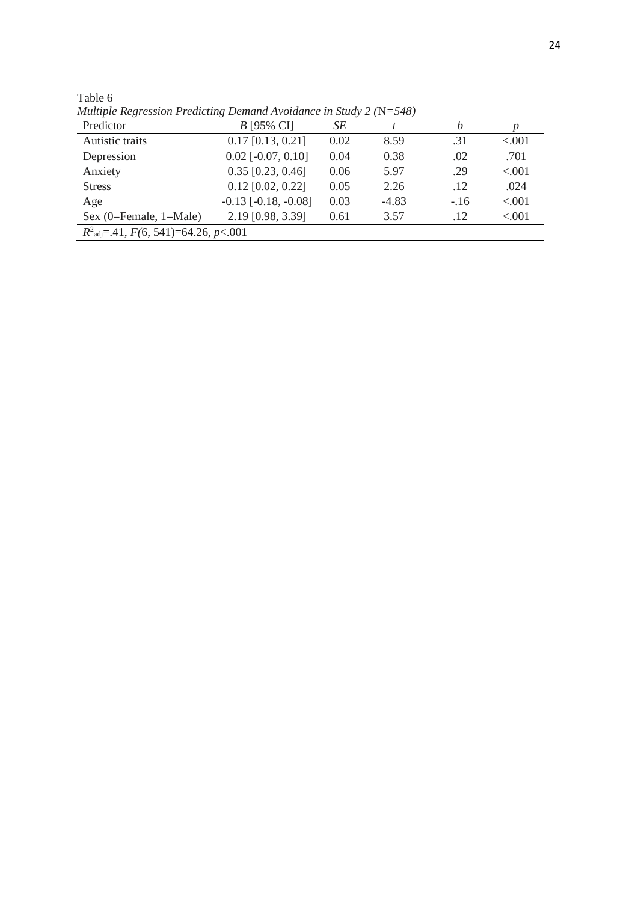Table 6

*Multiple Regression Predicting Demand Avoidance in Study 2 (*N*=548)*

| Predictor                                             | <i>B</i> [95% CI]        | SE   |         | h      | p       |  |  |
|-------------------------------------------------------|--------------------------|------|---------|--------|---------|--|--|
| Autistic traits                                       | $0.17$ [0.13, 0.21]      | 0.02 | 8.59    | .31    | < 0.001 |  |  |
| Depression                                            | $0.02$ [ $-0.07, 0.10$ ] | 0.04 | 0.38    | .02    | .701    |  |  |
| Anxiety                                               | $0.35$ [0.23, 0.46]      | 0.06 | 5.97    | .29    | < 0.001 |  |  |
| <b>Stress</b>                                         | $0.12$ [0.02, 0.22]      | 0.05 | 2.26    | .12    | .024    |  |  |
| Age                                                   | $-0.13$ $[-0.18, -0.08]$ | 0.03 | $-4.83$ | $-.16$ | < 0.001 |  |  |
| Sex $(0 =$ Female, $1 =$ Male)                        | 2.19 [0.98, 3.39]        | 0.61 | 3.57    | .12    | < 0.001 |  |  |
| $R^2_{\text{adj}} = .41, F(6, 541) = 64.26, p < .001$ |                          |      |         |        |         |  |  |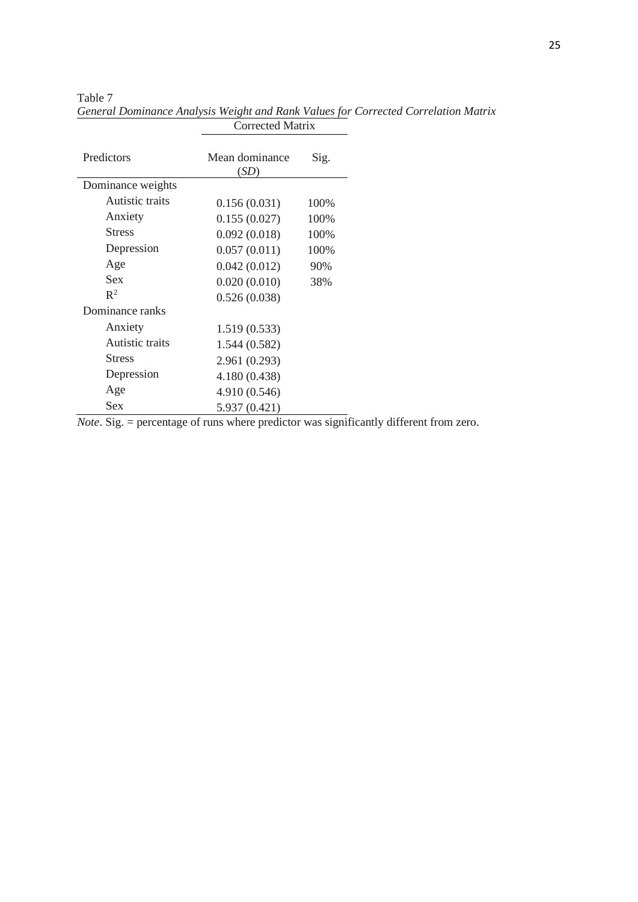Table 7

| Predictors        | Mean dominance<br>(SD) | Sig. |
|-------------------|------------------------|------|
| Dominance weights |                        |      |
| Autistic traits   | 0.156(0.031)           | 100% |
| Anxiety           | 0.155(0.027)           | 100% |
| <b>Stress</b>     | 0.092(0.018)           | 100% |
| Depression        | 0.057(0.011)           | 100% |
| Age               | 0.042(0.012)           | 90%  |
| <b>Sex</b>        | 0.020(0.010)           | 38%  |
| $\mathbb{R}^2$    | 0.526(0.038)           |      |
| Dominance ranks   |                        |      |
| Anxiety           | 1.519(0.533)           |      |
| Autistic traits   | 1.544(0.582)           |      |
| <b>Stress</b>     | 2.961 (0.293)          |      |
| Depression        | 4.180 (0.438)          |      |
| Age               | 4.910 (0.546)          |      |
| <b>Sex</b>        | 5.937 (0.421)          |      |

*General Dominance Analysis Weight and Rank Values for Corrected Correlation Matrix* Corrected Matrix

*Note*. Sig. = percentage of runs where predictor was significantly different from zero.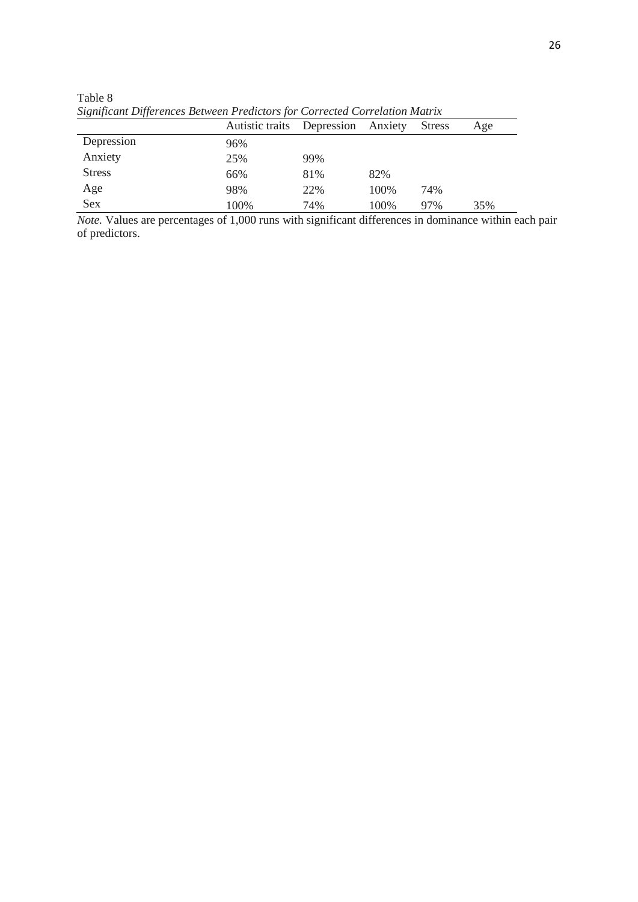| Significant Differences Between Predictors for Corrected Correlation Matrix |                 |                    |       |               |     |  |  |
|-----------------------------------------------------------------------------|-----------------|--------------------|-------|---------------|-----|--|--|
|                                                                             | Autistic traits | Depression Anxiety |       | <b>Stress</b> | Age |  |  |
| Depression                                                                  | 96%             |                    |       |               |     |  |  |
| Anxiety                                                                     | 25%             | 99%                |       |               |     |  |  |
| <b>Stress</b>                                                               | 66%             | 81%                | 82%   |               |     |  |  |
| Age                                                                         | 98%             | 22%                | 100\% | 74%           |     |  |  |
| <b>Sex</b>                                                                  | 100\%           | 74%                | 100\% | 97%           | 35% |  |  |

Table 8 *Significant Differences Between Predictors for Corrected Correlation Matrix*

*Note.* Values are percentages of 1,000 runs with significant differences in dominance within each pair of predictors.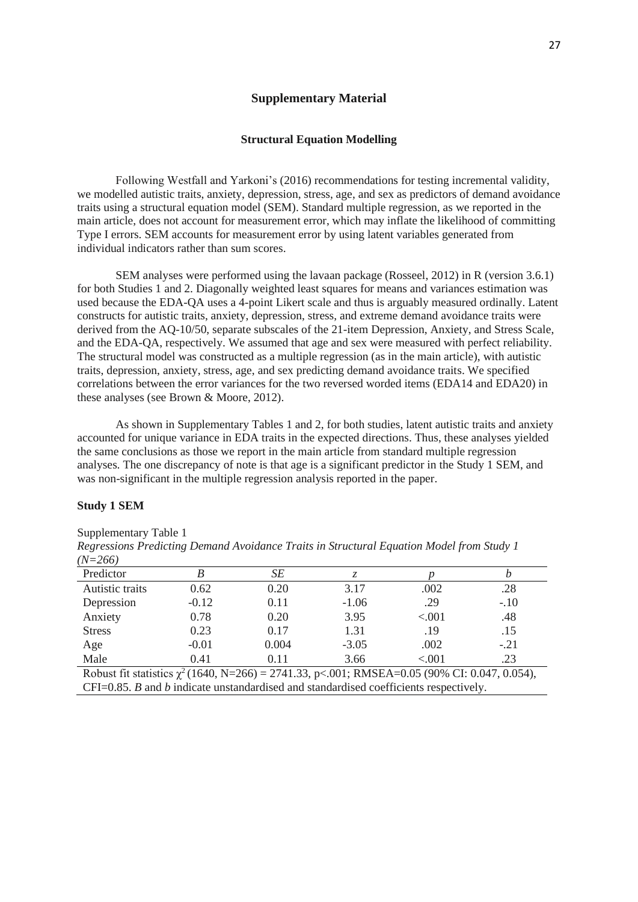## **Supplementary Material**

#### **Structural Equation Modelling**

Following Westfall and Yarkoni's (2016) recommendations for testing incremental validity, we modelled autistic traits, anxiety, depression, stress, age, and sex as predictors of demand avoidance traits using a structural equation model (SEM). Standard multiple regression, as we reported in the main article, does not account for measurement error, which may inflate the likelihood of committing Type I errors. SEM accounts for measurement error by using latent variables generated from individual indicators rather than sum scores.

SEM analyses were performed using the lavaan package (Rosseel, 2012) in R (version 3.6.1) for both Studies 1 and 2. Diagonally weighted least squares for means and variances estimation was used because the EDA-QA uses a 4-point Likert scale and thus is arguably measured ordinally. Latent constructs for autistic traits, anxiety, depression, stress, and extreme demand avoidance traits were derived from the AQ-10/50, separate subscales of the 21-item Depression, Anxiety, and Stress Scale, and the EDA-QA, respectively. We assumed that age and sex were measured with perfect reliability. The structural model was constructed as a multiple regression (as in the main article), with autistic traits, depression, anxiety, stress, age, and sex predicting demand avoidance traits. We specified correlations between the error variances for the two reversed worded items (EDA14 and EDA20) in these analyses (see Brown & Moore, 2012).

As shown in Supplementary Tables 1 and 2, for both studies, latent autistic traits and anxiety accounted for unique variance in EDA traits in the expected directions. Thus, these analyses yielded the same conclusions as those we report in the main article from standard multiple regression analyses. The one discrepancy of note is that age is a significant predictor in the Study 1 SEM, and was non-significant in the multiple regression analysis reported in the paper.

## **Study 1 SEM**

### Supplementary Table 1

| $11Y - 200I$                                                                                        |         |       |         |        |        |  |  |
|-----------------------------------------------------------------------------------------------------|---------|-------|---------|--------|--------|--|--|
| Predictor                                                                                           | B       | SЕ    |         |        |        |  |  |
| Autistic traits                                                                                     | 0.62    | 0.20  | 3.17    | .002   | .28    |  |  |
| Depression                                                                                          | $-0.12$ | 0.11  | $-1.06$ | .29    | $-.10$ |  |  |
| Anxiety                                                                                             | 0.78    | 0.20  | 3.95    | < .001 | .48    |  |  |
| <b>Stress</b>                                                                                       | 0.23    | 0.17  | 1.31    | .19    | .15    |  |  |
| Age                                                                                                 | $-0.01$ | 0.004 | $-3.05$ | .002   | $-.21$ |  |  |
| Male                                                                                                | 0.41    | 0.11  | 3.66    | < .001 | .23    |  |  |
| Robust fit statistics $\chi^2$ (1640, N=266) = 2741.33, p < 001; RMSEA=0.05 (90% CI: 0.047, 0.054), |         |       |         |        |        |  |  |
| $CFI = 0.85$ . B and b indicate unstandardised and standardised coefficients respectively.          |         |       |         |        |        |  |  |

*Regressions Predicting Demand Avoidance Traits in Structural Equation Model from Study 1 (N=266)*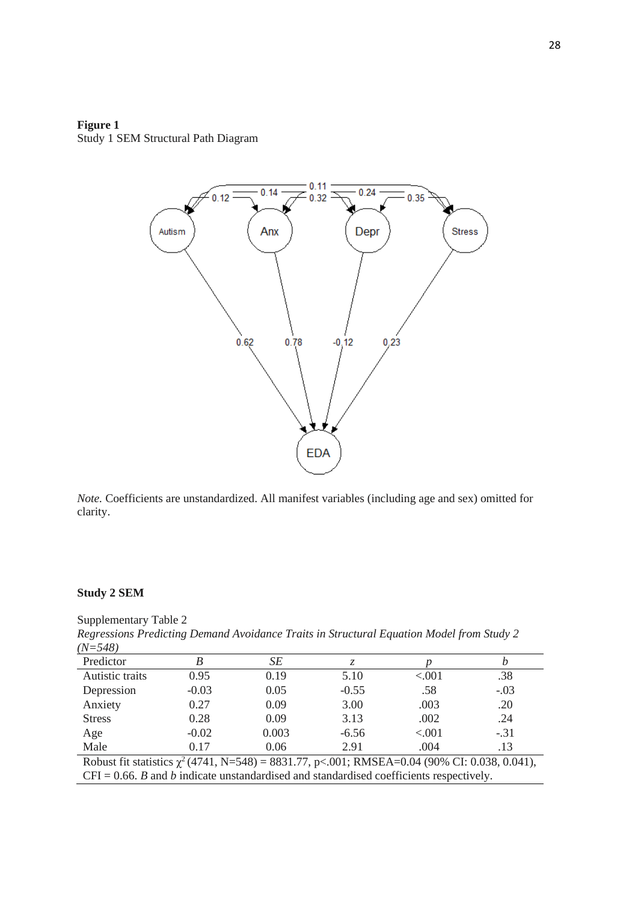# **Figure 1** Study 1 SEM Structural Path Diagram



*Note.* Coefficients are unstandardized. All manifest variables (including age and sex) omitted for clarity.

# **Study 2 SEM**

Supplementary Table 2 *Regressions Predicting Demand Avoidance Traits in Structural Equation Model from Study 2 (N=548)*

| Predictor                                                                                          |         | SE    | Z.      |         |        |  |
|----------------------------------------------------------------------------------------------------|---------|-------|---------|---------|--------|--|
| Autistic traits                                                                                    | 0.95    | 0.19  | 5.10    | < 0.001 | .38    |  |
| Depression                                                                                         | $-0.03$ | 0.05  | $-0.55$ | .58     | $-.03$ |  |
| Anxiety                                                                                            | 0.27    | 0.09  | 3.00    | .003    | .20    |  |
| <b>Stress</b>                                                                                      | 0.28    | 0.09  | 3.13    | .002    | .24    |  |
| Age                                                                                                | $-0.02$ | 0.003 | $-6.56$ | < .001  | $-.31$ |  |
| Male                                                                                               | 0.17    | 0.06  | 2.91    | .004    | .13    |  |
| Robust fit statistics $\chi^2$ (4741, N=548) = 8831.77, p<.001; RMSEA=0.04 (90% CI: 0.038, 0.041), |         |       |         |         |        |  |

CFI = 0.66. *B* and *b* indicate unstandardised and standardised coefficients respectively.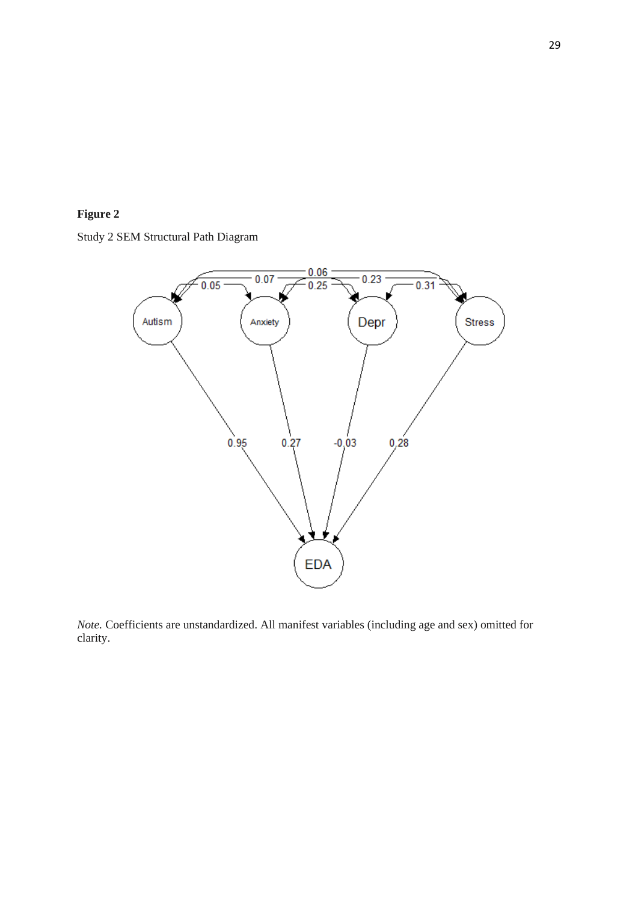

Study 2 SEM Structural Path Diagram



*Note.* Coefficients are unstandardized. All manifest variables (including age and sex) omitted for clarity.